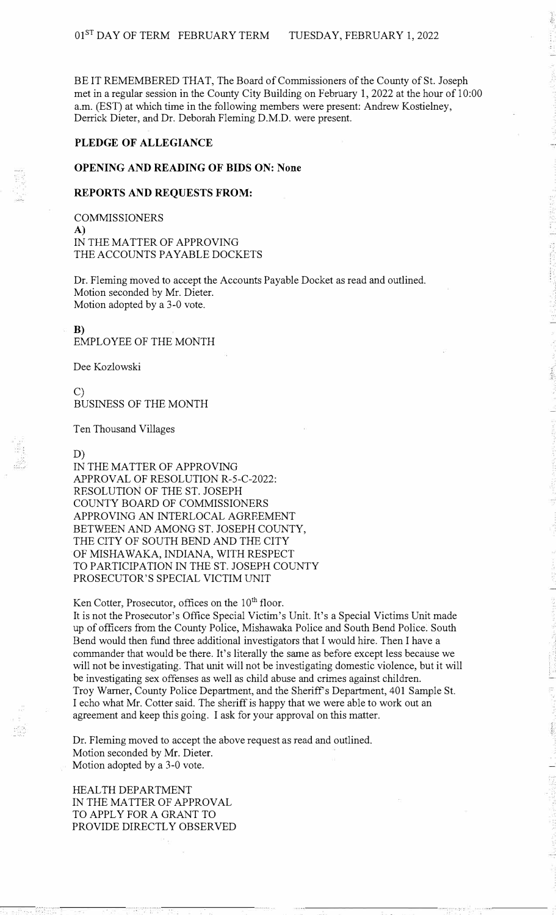BE IT REMEMBERED THAT, The Board of Commissioners of the County of St. Joseph met in a regular session in the County City Building on February 1, 2022 at the hour of 10:00 a.m. (EST) at which time in the following members were present: Andrew Kostielney, Derrick Dieter, and Dr. Deborah Fleming D.M.D. were present.

## **PLEDGE OF ALLEGIANCE**

### **OPENING AND READING OF BIDS ON: None**

### **REPORTS AND REQUESTS FROM:**

**COMMISSIONERS** A) IN THE MATTER OF APPROVING THE ACCOUNTS PAYABLE DOCKETS

Dr. Fleming moved to accept the Accounts Payable Docket as read and outlined. Motion seconded by Mr. Dieter. Motion adopted by a 3-0 vote.

#### **B)**

EMPLOYEE OF THE MONTH

Dee Kozlowski

C) BUSINESS OF THE MONTH

Ten Thousand Villages

### D)

IN THE MATTER OF APPROVING APPROVAL OF RESOLUTION R-5-C-2022: RESOLUTION OF THE ST. JOSEPH COUNTY BOARD OF COMMISSIONERS APPROVING AN INTERLOCAL AGREEMENT BETWEEN AND AMONG ST. JOSEPH COUNTY, THE CITY OF SOUTH BEND AND THE CITY OF MISHAWAKA, INDIANA, WITH RESPECT TO PARTICIPATION IN THE ST. JOSEPH COUNTY PROSECUTOR'S SPECIAL VICTIM UNIT

Ken Cotter, Prosecutor, offices on the  $10<sup>th</sup>$  floor.

It is not the Prosecutor's Office Special Victim's Unit. It's a Special Victims Unit made up of officers from the County Police, Mishawaka Police and South Bend Police. South Bend would then fund three additional investigators that I would hire. Then I have a commander that would be there. It's literally the same as before except less because we will not be investigating. That unit will not be investigating domestic violence, but it will be investigating sex offenses as well as child abuse and crimes against children. Troy Warner, County Police Department, and the Sheriff's Department, 401 Sample St. I echo what Mr. Cotter said. The sheriff is happy that we were able to work out an agreement and keep this going. I ask for your approval on this matter.

Dr. Fleming moved to accept the above request as read and outlined. Motion seconded by Mr. Dieter. Motion adopted by a 3-0 vote.

HEAL TH DEPARTMENT IN THE MATTER OF APPROVAL TO APPLY FOR A GRANT TO PROVIDE DIRECTLY OBSERVED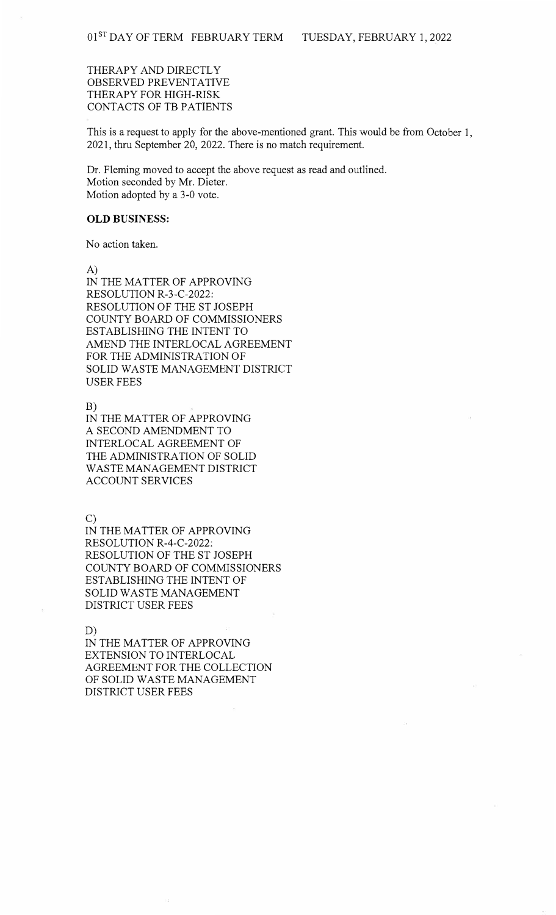THERAPY AND DIRECTLY OBSERVED PREVENTATIVE THERAPY FOR HIGH-RISK CONTACTS OF TB PATIENTS

This is a request to apply for the above-mentioned grant. This would be from October 1, 2021, thru September 20, 2022. There is no match requirement.

Dr. Fleming moved to accept the above request as read and outlined. Motion seconded by Mr. Dieter. Motion adopted by a 3-0 vote.

# **OLD BUSINESS:**

No action taken.

A)

IN THE MATTER OF APPROVING RESOLUTION R-3-C-2022: RESOLUTION OF THE ST JOSEPH COUNTY BOARD OF COMMISSIONERS ESTABLISHING THE INTENT TO AMEND THE INTERLOCAL AGREEMENT FOR THE ADMINISTRATION OF SOLID WASTE MANAGEMENT DISTRICT USER FEES

B)

IN THE MATTER OF APPROVING A SECOND AMENDMENT TO INTERLOCAL AGREEMENT OF THE ADMINISTRATION OF SOLID WASTE MANAGEMENT DISTRICT ACCOUNT SERVICES

C)

IN THE MATTER OF APPROVING RESOLUTION R-4-C-2022: RESOLUTION OF THE ST JOSEPH COUNTY BOARD OF COMMISSIONERS ESTABLISHING THE INTENT OF SOLID WASTE MANAGEMENT DISTRICT USER FEES

D)

IN THE MATTER OF APPROVING EXTENSION TO INTERLOCAL AGREEMENT FOR THE COLLECTION OF SOLID WASTE MANAGEMENT DISTRICT USER FEES